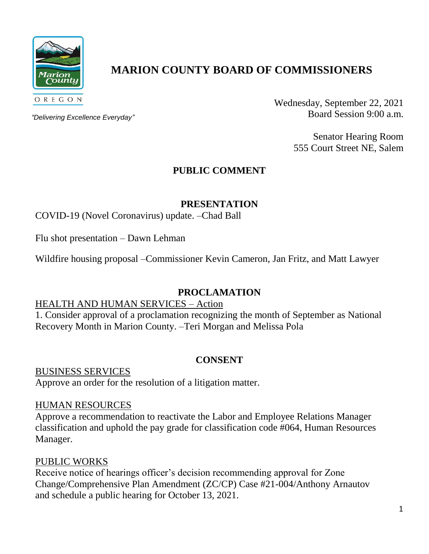

# **MARION COUNTY BOARD OF COMMISSIONERS**

*"Delivering Excellence Everyday"*

Wednesday, September 22, 2021 Board Session 9:00 a.m.

> Senator Hearing Room 555 Court Street NE, Salem

## **PUBLIC COMMENT**

**PRESENTATION**

COVID-19 (Novel Coronavirus) update. –Chad Ball

Flu shot presentation – Dawn Lehman

Wildfire housing proposal –Commissioner Kevin Cameron, Jan Fritz, and Matt Lawyer

## **PROCLAMATION**

#### HEALTH AND HUMAN SERVICES – Action

1. Consider approval of a proclamation recognizing the month of September as National Recovery Month in Marion County. –Teri Morgan and Melissa Pola

## **CONSENT**

BUSINESS SERVICES

Approve an order for the resolution of a litigation matter.

#### HUMAN RESOURCES

Approve a recommendation to reactivate the Labor and Employee Relations Manager classification and uphold the pay grade for classification code #064, Human Resources Manager.

## PUBLIC WORKS

Receive notice of hearings officer's decision recommending approval for Zone Change/Comprehensive Plan Amendment (ZC/CP) Case #21-004/Anthony Arnautov and schedule a public hearing for October 13, 2021.